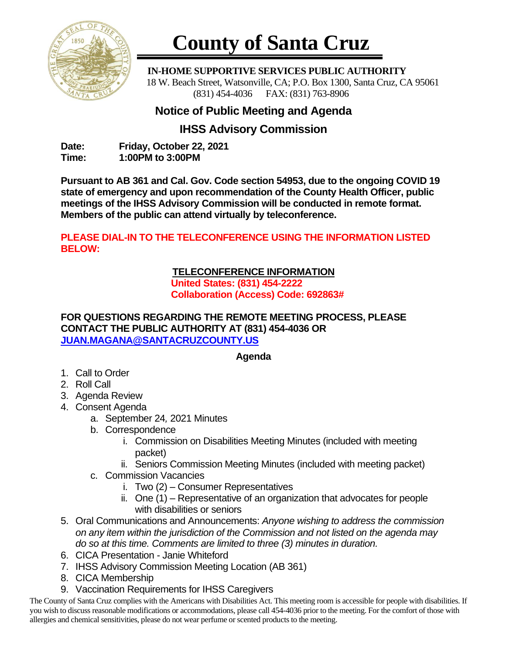

# **County of Santa Cruz**

 **IN-HOME SUPPORTIVE SERVICES PUBLIC AUTHORITY** 18 W. Beach Street, Watsonville, CA; P.O. Box 1300, Santa Cruz, CA 95061 (831) 454-4036 FAX: (831) 763-8906

## **Notice of Public Meeting and Agenda**

## **IHSS Advisory Commission**

**Date: Friday, October 22, 2021 Time: 1:00PM to 3:00PM**

**Pursuant to AB 361 and Cal. Gov. Code section 54953, due to the ongoing COVID 19 state of emergency and upon recommendation of the County Health Officer, public meetings of the IHSS Advisory Commission will be conducted in remote format. Members of the public can attend virtually by teleconference.**

### **PLEASE DIAL-IN TO THE TELECONFERENCE USING THE INFORMATION LISTED BELOW:**

#### **TELECONFERENCE INFORMATION United States: (831) 454-2222 Collaboration (Access) Code: 692863#**

#### **FOR QUESTIONS REGARDING THE REMOTE MEETING PROCESS, PLEASE CONTACT THE PUBLIC AUTHORITY AT (831) 454-4036 OR [JUAN.MAGANA@SANTACRUZCOUNTY.US](mailto:JUAN.MAGANA@SANTACRUZCOUNTY.US)**

### **Agenda**

- 1. Call to Order
- 2. Roll Call
- 3. Agenda Review
- 4. Consent Agenda
	- a. September 24*,* 2021 Minutes
	- b. Correspondence
		- i. Commission on Disabilities Meeting Minutes (included with meeting packet)
		- ii. Seniors Commission Meeting Minutes (included with meeting packet)
	- c. Commission Vacancies
		- i. Two (2) Consumer Representatives
		- ii. One (1) Representative of an organization that advocates for people with disabilities or seniors
- 5. Oral Communications and Announcements: *Anyone wishing to address the commission on any item within the jurisdiction of the Commission and not listed on the agenda may do so at this time. Comments are limited to three (3) minutes in duration.*
- 6. CICA Presentation Janie Whiteford
- 7. IHSS Advisory Commission Meeting Location (AB 361)
- 8. CICA Membership
- 9. Vaccination Requirements for IHSS Caregivers

The County of Santa Cruz complies with the Americans with Disabilities Act. This meeting room is accessible for people with disabilities. If you wish to discuss reasonable modifications or accommodations, please call 454-4036 prior to the meeting. For the comfort of those with allergies and chemical sensitivities, please do not wear perfume or scented products to the meeting.